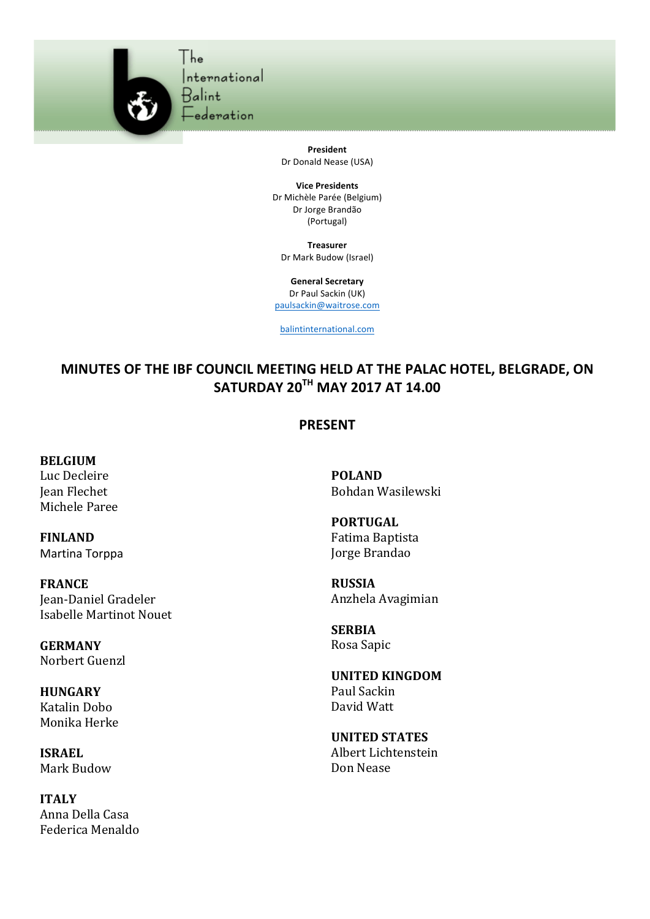

**President** Dr Donald Nease (USA)

**Vice Presidents** Dr Michèle Parée (Belgium) Dr Jorge Brandão (Portugal)

**Treasurer** Dr Mark Budow (Israel)

**General Secretary** Dr Paul Sackin (UK) paulsackin@waitrose.com

balintinternational.com

## **MINUTES OF THE IBF COUNCIL MEETING HELD AT THE PALAC HOTEL, BELGRADE, ON SATURDAY 20TH MAY 2017 AT 14.00**

## **PRESENT**

**BELGIUM**

Luc Decleire Jean Flechet Michele Paree

**FINLAND** Martina Torppa

**FRANCE** Jean-Daniel Gradeler **Isabelle Martinot Nouet** 

**GERMANY** Norbert Guenzl

**HUNGARY** Katalin Dobo Monika Herke

**ISRAEL** Mark Budow

**ITALY** Anna Della Casa Federica Menaldo **POLAND** Bohdan Wasilewski

**PORTUGAL** Fatima Baptista Jorge Brandao

**RUSSIA** Anzhela Avagimian

**SERBIA** Rosa Sapic

**UNITED KINGDOM** Paul Sackin David Watt

**UNITED STATES** Albert Lichtenstein Don Nease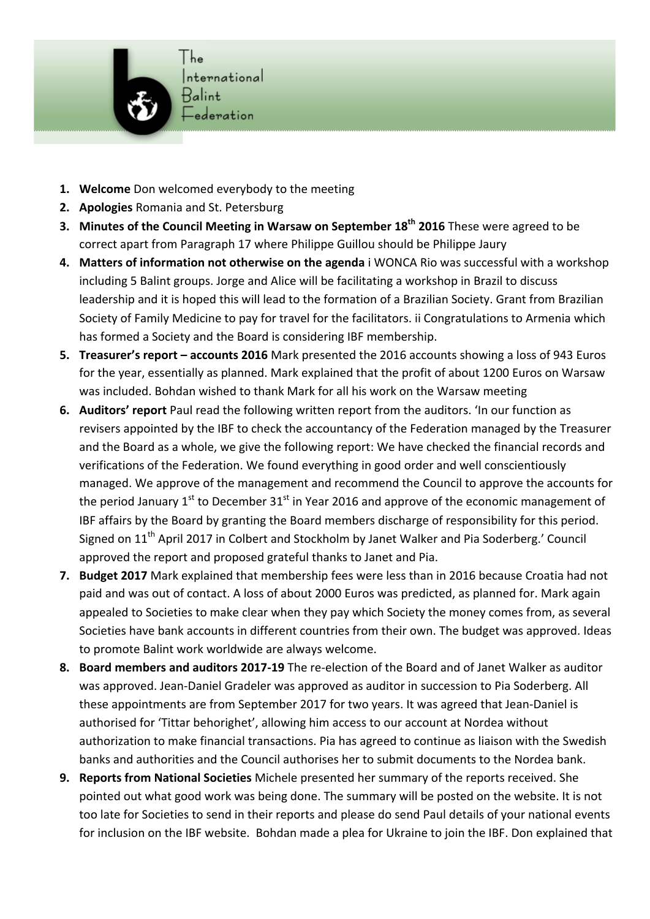

- **1.** Welcome Don welcomed everybody to the meeting
- 2. **Apologies** Romania and St. Petersburg
- **3.** Minutes of the Council Meeting in Warsaw on September 18<sup>th</sup> 2016 These were agreed to be correct apart from Paragraph 17 where Philippe Guillou should be Philippe Jaury
- **4.** Matters of information not otherwise on the agenda i WONCA Rio was successful with a workshop including 5 Balint groups. Jorge and Alice will be facilitating a workshop in Brazil to discuss leadership and it is hoped this will lead to the formation of a Brazilian Society. Grant from Brazilian Society of Family Medicine to pay for travel for the facilitators. ii Congratulations to Armenia which has formed a Society and the Board is considering IBF membership.
- **5. Treasurer's report accounts 2016** Mark presented the 2016 accounts showing a loss of 943 Euros for the year, essentially as planned. Mark explained that the profit of about 1200 Euros on Warsaw was included. Bohdan wished to thank Mark for all his work on the Warsaw meeting
- **6.** Auditors' report Paul read the following written report from the auditors. 'In our function as revisers appointed by the IBF to check the accountancy of the Federation managed by the Treasurer and the Board as a whole, we give the following report: We have checked the financial records and verifications of the Federation. We found everything in good order and well conscientiously managed. We approve of the management and recommend the Council to approve the accounts for the period January  $1^{st}$  to December  $31^{st}$  in Year 2016 and approve of the economic management of IBF affairs by the Board by granting the Board members discharge of responsibility for this period. Signed on 11<sup>th</sup> April 2017 in Colbert and Stockholm by Janet Walker and Pia Soderberg.' Council approved the report and proposed grateful thanks to Janet and Pia.
- **7.** Budget 2017 Mark explained that membership fees were less than in 2016 because Croatia had not paid and was out of contact. A loss of about 2000 Euros was predicted, as planned for. Mark again appealed to Societies to make clear when they pay which Society the money comes from, as several Societies have bank accounts in different countries from their own. The budget was approved. Ideas to promote Balint work worldwide are always welcome.
- **8.** Board members and auditors 2017-19 The re-election of the Board and of Janet Walker as auditor was approved. Jean-Daniel Gradeler was approved as auditor in succession to Pia Soderberg. All these appointments are from September 2017 for two years. It was agreed that Jean-Daniel is authorised for 'Tittar behorighet', allowing him access to our account at Nordea without authorization to make financial transactions. Pia has agreed to continue as liaison with the Swedish banks and authorities and the Council authorises her to submit documents to the Nordea bank.
- **9. Reports from National Societies** Michele presented her summary of the reports received. She pointed out what good work was being done. The summary will be posted on the website. It is not too late for Societies to send in their reports and please do send Paul details of your national events for inclusion on the IBF website. Bohdan made a plea for Ukraine to join the IBF. Don explained that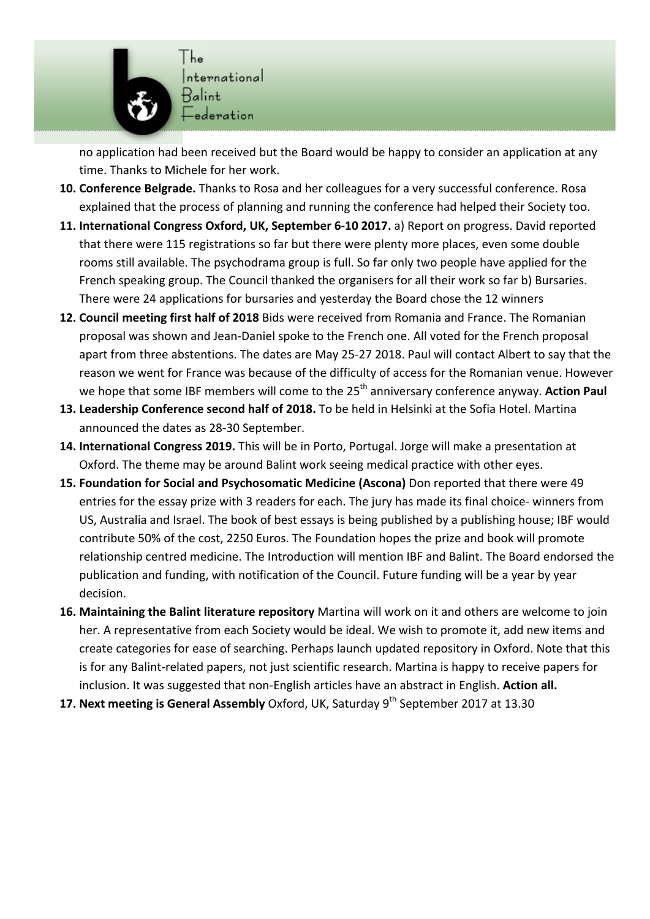

no application had been received but the Board would be happy to consider an application at any time. Thanks to Michele for her work.

- 10. Conference Belgrade. Thanks to Rosa and her colleagues for a very successful conference. Rosa explained that the process of planning and running the conference had helped their Society too.
- **11.** International Congress Oxford, UK, September 6-10 2017. a) Report on progress. David reported that there were 115 registrations so far but there were plenty more places, even some double rooms still available. The psychodrama group is full. So far only two people have applied for the French speaking group. The Council thanked the organisers for all their work so far b) Bursaries. There were 24 applications for bursaries and yesterday the Board chose the 12 winners
- 12. Council meeting first half of 2018 Bids were received from Romania and France. The Romanian proposal was shown and Jean-Daniel spoke to the French one. All voted for the French proposal apart from three abstentions. The dates are May 25-27 2018. Paul will contact Albert to say that the reason we went for France was because of the difficulty of access for the Romanian venue. However we hope that some IBF members will come to the 25<sup>th</sup> anniversary conference anyway. Action Paul
- 13. Leadership Conference second half of 2018. To be held in Helsinki at the Sofia Hotel. Martina announced the dates as 28-30 September.
- 14. International Congress 2019. This will be in Porto, Portugal. Jorge will make a presentation at Oxford. The theme may be around Balint work seeing medical practice with other eyes.
- 15. Foundation for Social and Psychosomatic Medicine (Ascona) Don reported that there were 49 entries for the essay prize with 3 readers for each. The jury has made its final choice- winners from US, Australia and Israel. The book of best essays is being published by a publishing house; IBF would contribute 50% of the cost, 2250 Euros. The Foundation hopes the prize and book will promote relationship centred medicine. The Introduction will mention IBF and Balint. The Board endorsed the publication and funding, with notification of the Council. Future funding will be a year by year decision.
- **16. Maintaining the Balint literature repository** Martina will work on it and others are welcome to join her. A representative from each Society would be ideal. We wish to promote it, add new items and create categories for ease of searching. Perhaps launch updated repository in Oxford. Note that this is for any Balint-related papers, not just scientific research. Martina is happy to receive papers for inclusion. It was suggested that non-English articles have an abstract in English. Action all.
- **17. Next meeting is General Assembly** Oxford, UK, Saturday 9<sup>th</sup> September 2017 at 13.30